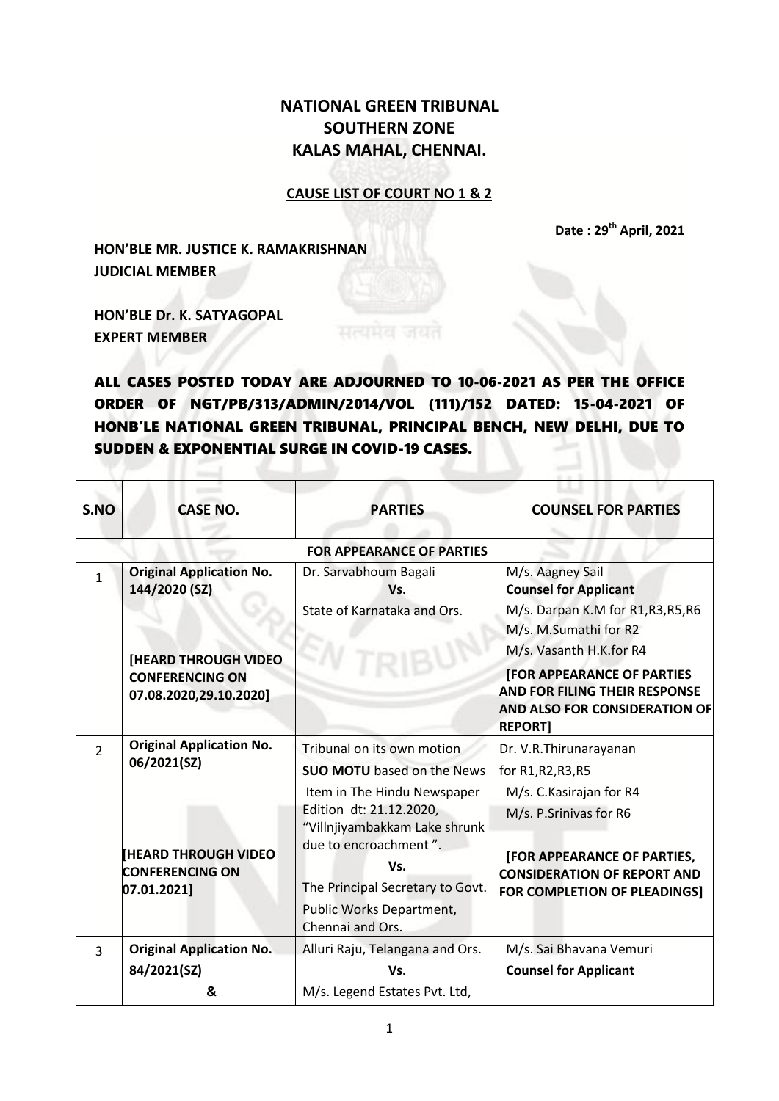## **NATIONAL GREEN TRIBUNAL SOUTHERN ZONE KALAS MAHAL, CHENNAI.**

## **CAUSE LIST OF COURT NO 1 & 2**

**Date : 29 th April, 2021**

**HON'BLE MR. JUSTICE K. RAMAKRISHNAN JUDICIAL MEMBER**

**HON'BLE Dr. K. SATYAGOPAL EXPERT MEMBER**

ALL CASES POSTED TODAY ARE ADJOURNED TO 10-06-2021 AS PER THE OFFICE ORDER OF NGT/PB/313/ADMIN/2014/VOL (111)/152 DATED: 15-04-2021 OF HONB'LE NATIONAL GREEN TRIBUNAL, PRINCIPAL BENCH, NEW DELHI, DUE TO SUDDEN & EXPONENTIAL SURGE IN COVID-19 CASES.

| S.NO          | <b>CASE NO.</b>                                                                                                                     | <b>PARTIES</b>                                                                                                                                                                                                                                                                 | <b>COUNSEL FOR PARTIES</b>                                                                                                                                                                                                                                                        |
|---------------|-------------------------------------------------------------------------------------------------------------------------------------|--------------------------------------------------------------------------------------------------------------------------------------------------------------------------------------------------------------------------------------------------------------------------------|-----------------------------------------------------------------------------------------------------------------------------------------------------------------------------------------------------------------------------------------------------------------------------------|
|               |                                                                                                                                     | <b>FOR APPEARANCE OF PARTIES</b>                                                                                                                                                                                                                                               |                                                                                                                                                                                                                                                                                   |
| $\mathbf{1}$  | <b>Original Application No.</b><br>144/2020 (SZ)<br><b>[HEARD THROUGH VIDEO</b><br><b>CONFERENCING ON</b><br>07.08.2020,29.10.2020] | Dr. Sarvabhoum Bagali<br>Vs.<br>State of Karnataka and Ors.<br>TRIE                                                                                                                                                                                                            | M/s. Aagney Sail<br><b>Counsel for Applicant</b><br>M/s. Darpan K.M for R1, R3, R5, R6<br>M/s. M.Sumathi for R2<br>M/s. Vasanth H.K.for R4<br><b>[FOR APPEARANCE OF PARTIES</b><br><b>AND FOR FILING THEIR RESPONSE</b><br><b>AND ALSO FOR CONSIDERATION OF</b><br><b>REPORT1</b> |
| $\mathcal{P}$ | <b>Original Application No.</b><br>06/2021(SZ)<br><b>[HEARD THROUGH VIDEO</b><br><b>CONFERENCING ON</b><br>07.01.2021]              | Tribunal on its own motion<br><b>SUO MOTU</b> based on the News<br>Item in The Hindu Newspaper<br>Edition dt: 21.12.2020,<br>"Villnjiyambakkam Lake shrunk<br>due to encroachment".<br>Vs.<br>The Principal Secretary to Govt.<br>Public Works Department,<br>Chennai and Ors. | Dr. V.R. Thirunarayanan<br>for R1,R2,R3,R5<br>M/s. C. Kasirajan for R4<br>M/s. P.Srinivas for R6<br>[FOR APPEARANCE OF PARTIES,<br><b>CONSIDERATION OF REPORT AND</b><br>FOR COMPLETION OF PLEADINGS]                                                                             |
| $\mathbf{3}$  | <b>Original Application No.</b><br>84/2021(SZ)                                                                                      | Alluri Raju, Telangana and Ors.<br>Vs.                                                                                                                                                                                                                                         | M/s. Sai Bhavana Vemuri<br><b>Counsel for Applicant</b>                                                                                                                                                                                                                           |
|               | &                                                                                                                                   | M/s. Legend Estates Pvt. Ltd,                                                                                                                                                                                                                                                  |                                                                                                                                                                                                                                                                                   |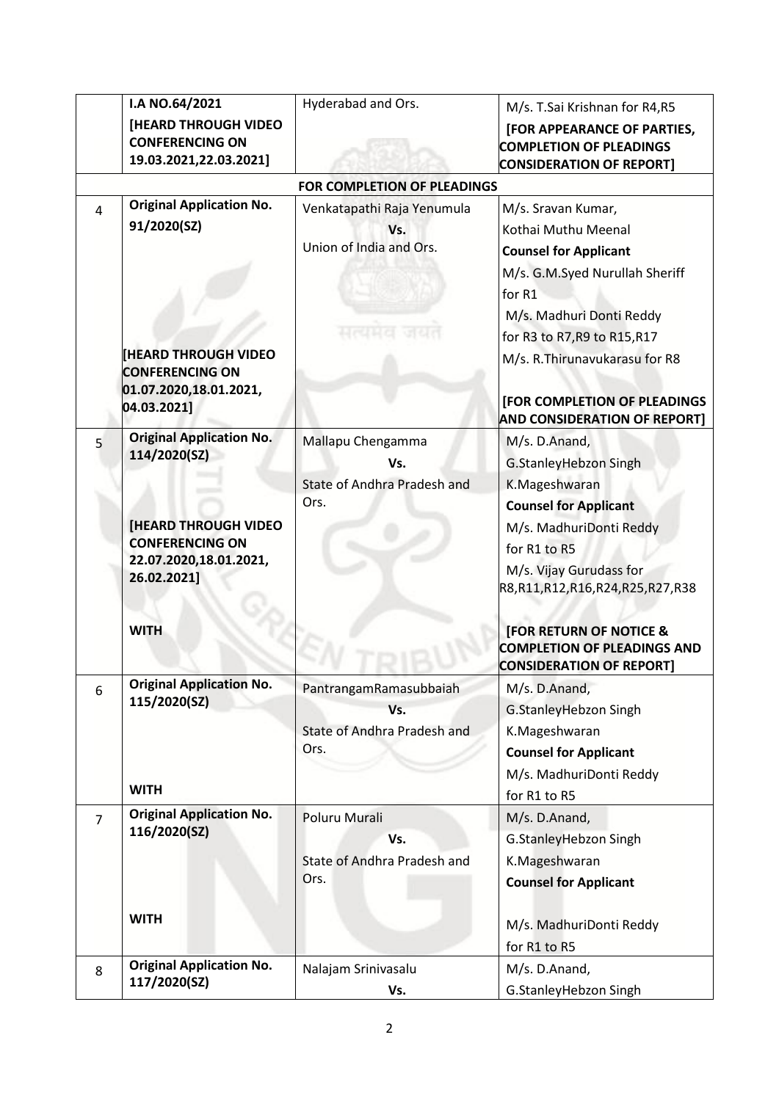|                | I.A NO.64/2021                                  | Hyderabad and Ors.                  | M/s. T.Sai Krishnan for R4,R5       |
|----------------|-------------------------------------------------|-------------------------------------|-------------------------------------|
|                | [HEARD THROUGH VIDEO                            |                                     | [FOR APPEARANCE OF PARTIES,         |
|                | <b>CONFERENCING ON</b>                          |                                     | <b>COMPLETION OF PLEADINGS</b>      |
|                | 19.03.2021,22.03.2021]                          |                                     | <b>CONSIDERATION OF REPORT]</b>     |
|                |                                                 | <b>FOR COMPLETION OF PLEADINGS</b>  |                                     |
| $\overline{a}$ | <b>Original Application No.</b>                 | Venkatapathi Raja Yenumula          | M/s. Sravan Kumar,                  |
|                | 91/2020(SZ)                                     | Vs.                                 | Kothai Muthu Meenal                 |
|                |                                                 | Union of India and Ors.             | <b>Counsel for Applicant</b>        |
|                |                                                 |                                     | M/s. G.M.Syed Nurullah Sheriff      |
|                |                                                 |                                     | for R1                              |
|                |                                                 |                                     | M/s. Madhuri Donti Reddy            |
|                |                                                 | нкина                               | for R3 to R7, R9 to R15, R17        |
|                | <b>HEARD THROUGH VIDEO</b>                      |                                     | M/s. R. Thirunavukarasu for R8      |
|                | <b>CONFERENCING ON</b>                          |                                     |                                     |
|                | 01.07.2020,18.01.2021,                          |                                     | [FOR COMPLETION OF PLEADINGS        |
|                | 04.03.2021]                                     |                                     | <b>AND CONSIDERATION OF REPORT]</b> |
| 5              | <b>Original Application No.</b>                 | Mallapu Chengamma                   | M/s. D.Anand,                       |
|                | 114/2020(SZ)                                    | Vs.                                 | G.StanleyHebzon Singh               |
|                |                                                 | <b>State of Andhra Pradesh and</b>  | K.Mageshwaran                       |
|                |                                                 | Ors.                                | <b>Counsel for Applicant</b>        |
|                | <b>[HEARD THROUGH VIDEO</b>                     |                                     | M/s. MadhuriDonti Reddy             |
|                | <b>CONFERENCING ON</b>                          |                                     | for R1 to R5                        |
|                | 22.07.2020,18.01.2021,<br>26.02.2021]           |                                     | M/s. Vijay Gurudass for             |
|                |                                                 |                                     | R8,R11,R12,R16,R24,R25,R27,R38      |
|                |                                                 |                                     |                                     |
|                | <b>WITH</b>                                     |                                     | <b>[FOR RETURN OF NOTICE &amp;</b>  |
|                |                                                 |                                     | <b>COMPLETION OF PLEADINGS AND</b>  |
|                | <b>Original Application No.</b>                 |                                     | <b>CONSIDERATION OF REPORT]</b>     |
| 6              | 115/2020(SZ)                                    | PantrangamRamasubbaiah              | M/s. D.Anand,                       |
|                |                                                 | Vs.                                 | G.StanleyHebzon Singh               |
|                |                                                 | State of Andhra Pradesh and<br>Ors. | K.Mageshwaran                       |
|                |                                                 |                                     | <b>Counsel for Applicant</b>        |
|                | <b>WITH</b>                                     |                                     | M/s. MadhuriDonti Reddy             |
|                |                                                 |                                     | for R1 to R5                        |
| $\overline{7}$ | <b>Original Application No.</b><br>116/2020(SZ) | Poluru Murali                       | M/s. D.Anand,                       |
|                |                                                 | Vs.                                 | G.StanleyHebzon Singh               |
|                |                                                 | State of Andhra Pradesh and         | K.Mageshwaran                       |
|                |                                                 | Ors.                                | <b>Counsel for Applicant</b>        |
|                | <b>WITH</b>                                     |                                     |                                     |
|                |                                                 |                                     | M/s. MadhuriDonti Reddy             |
|                |                                                 |                                     | for R1 to R5                        |
| 8              | <b>Original Application No.</b>                 | Nalajam Srinivasalu                 | M/s. D.Anand,                       |
|                | 117/2020(SZ)                                    | Vs.                                 | G.StanleyHebzon Singh               |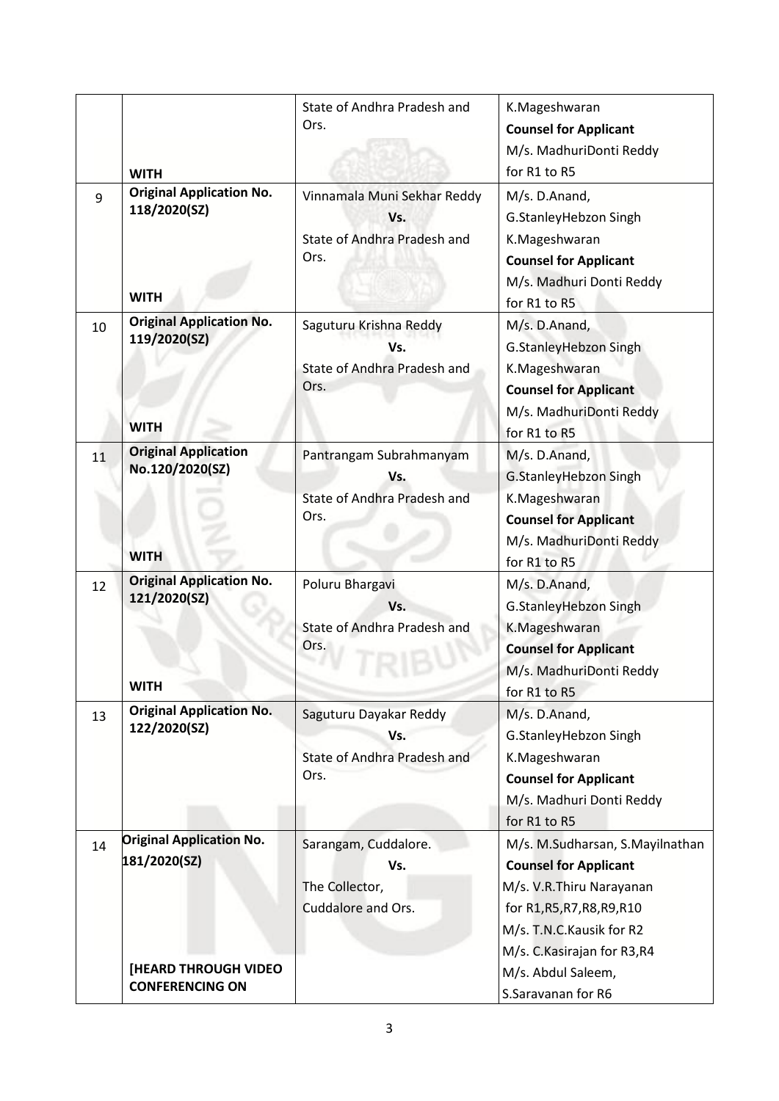|    | <b>WITH</b>                                                    | State of Andhra Pradesh and<br>Ors.                                       | K.Mageshwaran<br><b>Counsel for Applicant</b><br>M/s. MadhuriDonti Reddy<br>for R1 to R5                                                                                                |
|----|----------------------------------------------------------------|---------------------------------------------------------------------------|-----------------------------------------------------------------------------------------------------------------------------------------------------------------------------------------|
| 9  | <b>Original Application No.</b><br>118/2020(SZ)<br><b>WITH</b> | Vinnamala Muni Sekhar Reddy<br>Vs.<br>State of Andhra Pradesh and<br>Ors. | M/s. D.Anand,<br>G.StanleyHebzon Singh<br>K.Mageshwaran<br><b>Counsel for Applicant</b><br>M/s. Madhuri Donti Reddy<br>for R1 to R5                                                     |
| 10 | <b>Original Application No.</b><br>119/2020(SZ)<br><b>WITH</b> | Saguturu Krishna Reddy<br>Vs.<br>State of Andhra Pradesh and<br>Ors.      | M/s. D.Anand,<br>G.StanleyHebzon Singh<br>K.Mageshwaran<br><b>Counsel for Applicant</b><br>M/s. MadhuriDonti Reddy<br>for R1 to R5                                                      |
| 11 | <b>Original Application</b><br>No.120/2020(SZ)<br><b>WITH</b>  | Pantrangam Subrahmanyam<br>Vs.<br>State of Andhra Pradesh and<br>Ors.     | M/s. D.Anand,<br>G.StanleyHebzon Singh<br>K.Mageshwaran<br><b>Counsel for Applicant</b><br>M/s. MadhuriDonti Reddy<br>for R1 to R5                                                      |
| 12 | <b>Original Application No.</b><br>121/2020(SZ)<br>WITH        | Poluru Bhargavi<br>Vs.<br>State of Andhra Pradesh and<br>Ors.             | M/s. D.Anand,<br>G.StanleyHebzon Singh<br>K.Mageshwaran<br><b>Counsel for Applicant</b><br>M/s. MadhuriDonti Reddy<br>for R1 to R5                                                      |
| 13 | <b>Original Application No.</b><br>122/2020(SZ)                | Saguturu Dayakar Reddy<br>Vs.<br>State of Andhra Pradesh and<br>Ors.      | M/s. D.Anand,<br>G.StanleyHebzon Singh<br>K.Mageshwaran<br><b>Counsel for Applicant</b><br>M/s. Madhuri Donti Reddy<br>for R1 to R5                                                     |
| 14 | <b>Original Application No.</b><br>181/2020(SZ)                | Sarangam, Cuddalore.<br>Vs.<br>The Collector,<br>Cuddalore and Ors.       | M/s. M.Sudharsan, S.Mayilnathan<br><b>Counsel for Applicant</b><br>M/s. V.R.Thiru Narayanan<br>for R1, R5, R7, R8, R9, R10<br>M/s. T.N.C. Kausik for R2<br>M/s. C. Kasirajan for R3, R4 |
|    | [HEARD THROUGH VIDEO<br><b>CONFERENCING ON</b>                 |                                                                           | M/s. Abdul Saleem,<br>S.Saravanan for R6                                                                                                                                                |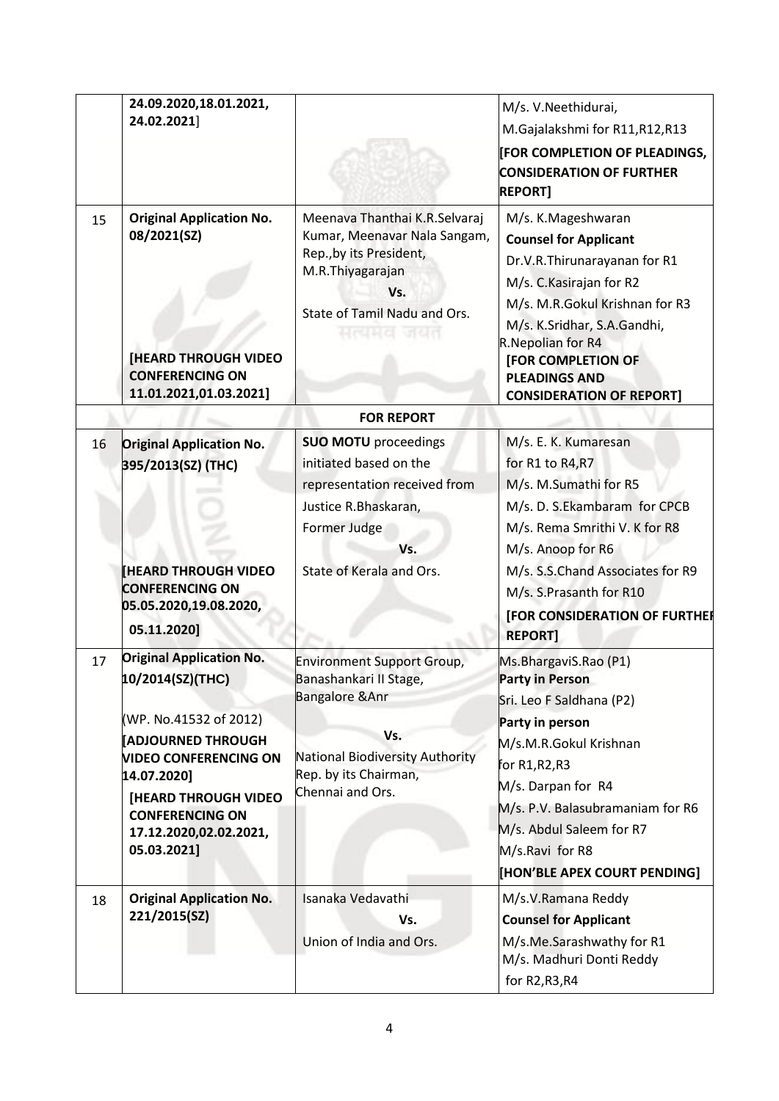| 15 | 24.09.2020,18.01.2021,<br>24.02.2021]<br><b>Original Application No.</b><br>08/2021(SZ)<br><b>[HEARD THROUGH VIDEO</b><br><b>CONFERENCING ON</b> | Meenava Thanthai K.R.Selvaraj<br>Kumar, Meenavar Nala Sangam,<br>Rep., by its President,<br>M.R.Thiyagarajan<br>Vs.<br>State of Tamil Nadu and Ors.<br>нкина<br>ार धरा | M/s. V.Neethidurai,<br>M.Gajalakshmi for R11, R12, R13<br><b>[FOR COMPLETION OF PLEADINGS,</b><br><b>CONSIDERATION OF FURTHER</b><br><b>REPORT]</b><br>M/s. K.Mageshwaran<br><b>Counsel for Applicant</b><br>Dr.V.R.Thirunarayanan for R1<br>M/s. C. Kasirajan for R2<br>M/s. M.R.Gokul Krishnan for R3<br>M/s. K.Sridhar, S.A.Gandhi,<br>R. Nepolian for R4<br><b>[FOR COMPLETION OF</b><br><b>PLEADINGS AND</b> |
|----|--------------------------------------------------------------------------------------------------------------------------------------------------|------------------------------------------------------------------------------------------------------------------------------------------------------------------------|-------------------------------------------------------------------------------------------------------------------------------------------------------------------------------------------------------------------------------------------------------------------------------------------------------------------------------------------------------------------------------------------------------------------|
|    | 11.01.2021,01.03.2021]                                                                                                                           |                                                                                                                                                                        | <b>CONSIDERATION OF REPORT]</b>                                                                                                                                                                                                                                                                                                                                                                                   |
|    |                                                                                                                                                  | <b>FOR REPORT</b>                                                                                                                                                      |                                                                                                                                                                                                                                                                                                                                                                                                                   |
| 16 | <b>Original Application No.</b><br>395/2013(SZ) (THC)                                                                                            | <b>SUO MOTU</b> proceedings<br>initiated based on the<br>representation received from<br>Justice R.Bhaskaran,<br>Former Judge<br>Vs.                                   | M/s. E. K. Kumaresan<br>for R1 to R4, R7<br>M/s. M.Sumathi for R5<br>M/s. D. S.Ekambaram for CPCB<br>M/s. Rema Smrithi V. K for R8<br>M/s. Anoop for R6                                                                                                                                                                                                                                                           |
|    | <b>[HEARD THROUGH VIDEO</b><br><b>CONFERENCING ON</b><br>05.05.2020,19.08.2020,<br>05.11.2020]                                                   | State of Kerala and Ors.                                                                                                                                               | M/s. S.S.Chand Associates for R9<br>M/s. S.Prasanth for R10<br>[FOR CONSIDERATION OF FURTHER<br><b>REPORT]</b>                                                                                                                                                                                                                                                                                                    |
| 17 | <b>Original Application No.</b><br>10/2014(SZ)(THC)<br>(WP. No.41532 of 2012)<br><b>ADJOURNED THROUGH</b><br><b>VIDEO CONFERENCING ON</b>        | <b>Environment Support Group,</b><br>Banashankari II Stage,<br><b>Bangalore &amp; Anr</b><br>Vs.<br>National Biodiversity Authority                                    | Ms.BhargaviS.Rao (P1)<br><b>Party in Person</b><br>Sri. Leo F Saldhana (P2)<br>Party in person<br>M/s.M.R.Gokul Krishnan                                                                                                                                                                                                                                                                                          |
|    | 14.07.2020]<br><b>[HEARD THROUGH VIDEO</b><br><b>CONFERENCING ON</b><br>17.12.2020,02.02.2021,<br>05.03.2021]                                    | Rep. by its Chairman,<br>Chennai and Ors.                                                                                                                              | for R1,R2,R3<br>M/s. Darpan for R4<br>M/s. P.V. Balasubramaniam for R6<br>M/s. Abdul Saleem for R7<br>M/s.Ravi for R8<br>[HON'BLE APEX COURT PENDING]                                                                                                                                                                                                                                                             |
| 18 | <b>Original Application No.</b><br>221/2015(SZ)                                                                                                  | Isanaka Vedavathi<br>Vs.<br>Union of India and Ors.                                                                                                                    | M/s.V.Ramana Reddy<br><b>Counsel for Applicant</b><br>M/s.Me.Sarashwathy for R1<br>M/s. Madhuri Donti Reddy<br>for R2, R3, R4                                                                                                                                                                                                                                                                                     |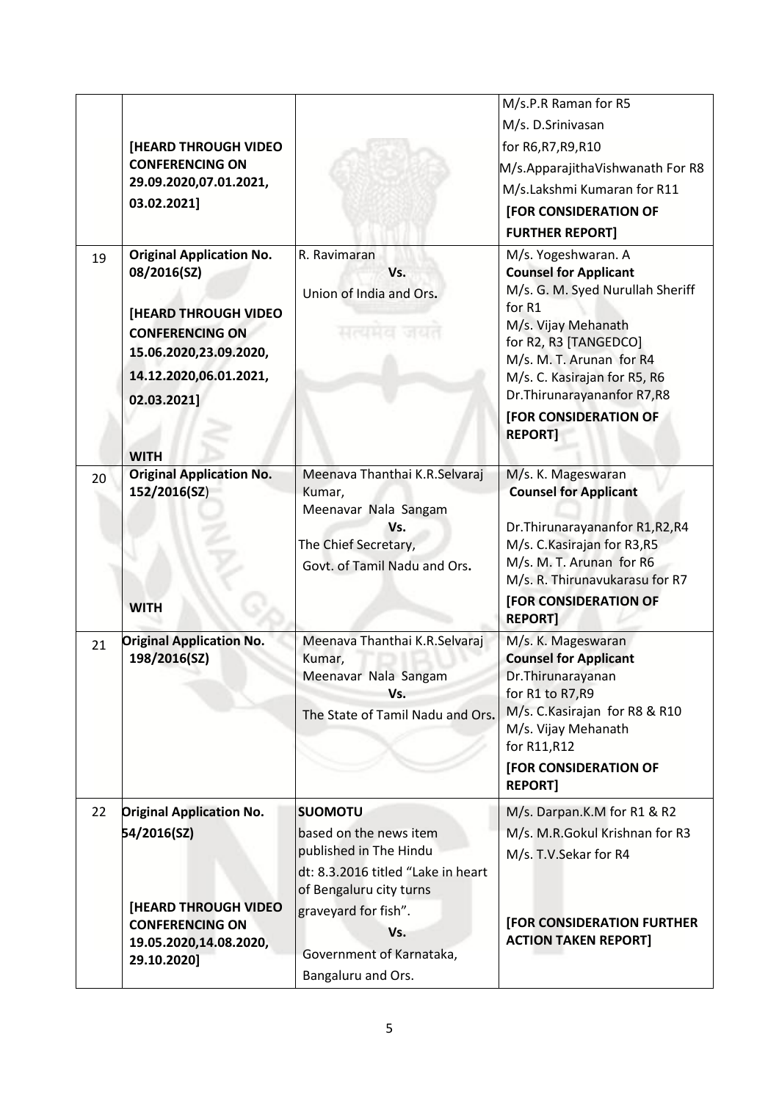|    |                                                                                                                                                                                           |                                                                                                                                | M/s.P.R Raman for R5                                                                                                                                                                                                                                                                            |
|----|-------------------------------------------------------------------------------------------------------------------------------------------------------------------------------------------|--------------------------------------------------------------------------------------------------------------------------------|-------------------------------------------------------------------------------------------------------------------------------------------------------------------------------------------------------------------------------------------------------------------------------------------------|
|    |                                                                                                                                                                                           |                                                                                                                                | M/s. D.Srinivasan                                                                                                                                                                                                                                                                               |
|    | <b>[HEARD THROUGH VIDEO</b>                                                                                                                                                               |                                                                                                                                | for R6, R7, R9, R10                                                                                                                                                                                                                                                                             |
|    | <b>CONFERENCING ON</b>                                                                                                                                                                    |                                                                                                                                | M/s.ApparajithaVishwanath For R8                                                                                                                                                                                                                                                                |
|    | 29.09.2020,07.01.2021,                                                                                                                                                                    |                                                                                                                                | M/s.Lakshmi Kumaran for R11                                                                                                                                                                                                                                                                     |
|    | 03.02.2021]                                                                                                                                                                               |                                                                                                                                | <b>[FOR CONSIDERATION OF</b>                                                                                                                                                                                                                                                                    |
|    |                                                                                                                                                                                           |                                                                                                                                | <b>FURTHER REPORT]</b>                                                                                                                                                                                                                                                                          |
| 19 | <b>Original Application No.</b><br>08/2016(SZ)<br><b>[HEARD THROUGH VIDEO</b><br><b>CONFERENCING ON</b><br>15.06.2020,23.09.2020,<br>14.12.2020,06.01.2021,<br>02.03.2021]<br><b>WITH</b> | R. Ravimaran<br>Vs.<br>Union of India and Ors.<br>मत्यमत                                                                       | M/s. Yogeshwaran. A<br><b>Counsel for Applicant</b><br>M/s. G. M. Syed Nurullah Sheriff<br>for R1<br>M/s. Vijay Mehanath<br>for R2, R3 [TANGEDCO]<br>M/s. M. T. Arunan for R4<br>M/s. C. Kasirajan for R5, R6<br>Dr. Thirunarayananfor R7, R8<br><b>[FOR CONSIDERATION OF</b><br><b>REPORTI</b> |
| 20 | <b>Original Application No.</b><br>152/2016(SZ)<br><b>WITH</b>                                                                                                                            | Meenava Thanthai K.R.Selvaraj<br>Kumar,<br>Meenavar Nala Sangam<br>Vs.<br>The Chief Secretary,<br>Govt. of Tamil Nadu and Ors. | M/s. K. Mageswaran<br><b>Counsel for Applicant</b><br>Dr. Thirunarayananfor R1, R2, R4<br>M/s. C. Kasirajan for R3, R5<br>M/s. M. T. Arunan for R6<br>M/s. R. Thirunavukarasu for R7<br>[FOR CONSIDERATION OF<br><b>REPORT]</b>                                                                 |
| 21 | <b>Original Application No.</b><br>198/2016(SZ)                                                                                                                                           | Meenava Thanthai K.R.Selvaraj<br>Kumar,<br>Meenavar Nala Sangam<br>Vs.<br>The State of Tamil Nadu and Ors.                     | M/s. K. Mageswaran<br><b>Counsel for Applicant</b><br>Dr.Thirunarayanan<br>for R1 to R7, R9<br>M/s. C. Kasirajan for R8 & R10<br>M/s. Vijay Mehanath<br>for R11, R12<br>[FOR CONSIDERATION OF                                                                                                   |
|    |                                                                                                                                                                                           |                                                                                                                                | <b>REPORT]</b>                                                                                                                                                                                                                                                                                  |
| 22 | <b>Original Application No.</b>                                                                                                                                                           | <b>SUOMOTU</b>                                                                                                                 | M/s. Darpan.K.M for R1 & R2                                                                                                                                                                                                                                                                     |
|    | 54/2016(SZ)                                                                                                                                                                               | based on the news item                                                                                                         | M/s. M.R.Gokul Krishnan for R3                                                                                                                                                                                                                                                                  |
|    |                                                                                                                                                                                           | published in The Hindu<br>dt: 8.3.2016 titled "Lake in heart<br>of Bengaluru city turns                                        | M/s. T.V.Sekar for R4                                                                                                                                                                                                                                                                           |
|    | <b>[HEARD THROUGH VIDEO</b>                                                                                                                                                               | graveyard for fish".                                                                                                           | [FOR CONSIDERATION FURTHER                                                                                                                                                                                                                                                                      |
|    | <b>CONFERENCING ON</b><br>19.05.2020,14.08.2020,                                                                                                                                          | Vs.                                                                                                                            | <b>ACTION TAKEN REPORT]</b>                                                                                                                                                                                                                                                                     |
|    | 29.10.2020]                                                                                                                                                                               | Government of Karnataka,                                                                                                       |                                                                                                                                                                                                                                                                                                 |
|    |                                                                                                                                                                                           | Bangaluru and Ors.                                                                                                             |                                                                                                                                                                                                                                                                                                 |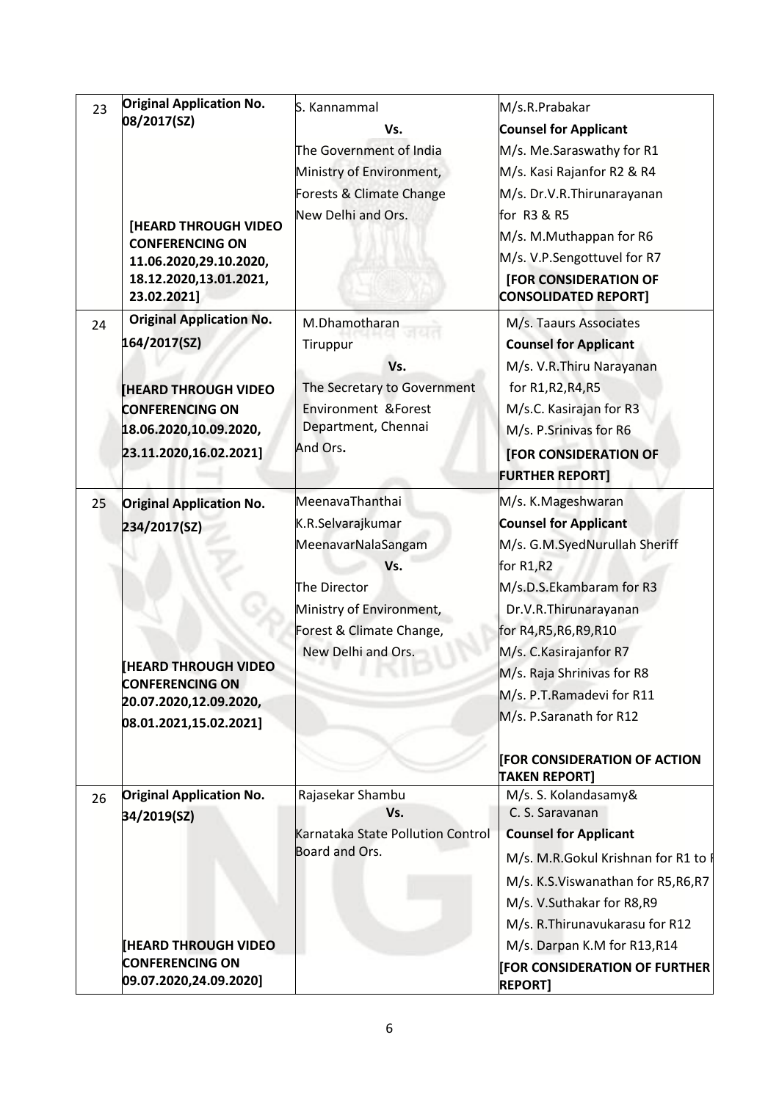| 23 | <b>Original Application No.</b>                       | S. Kannammal                      | M/s.R.Prabakar                               |
|----|-------------------------------------------------------|-----------------------------------|----------------------------------------------|
|    | 08/2017(SZ)                                           | Vs.                               | <b>Counsel for Applicant</b>                 |
|    |                                                       | The Government of India           | M/s. Me.Saraswathy for R1                    |
|    |                                                       | Ministry of Environment,          | M/s. Kasi Rajanfor R2 & R4                   |
|    |                                                       | Forests & Climate Change          | M/s. Dr.V.R.Thirunarayanan                   |
|    |                                                       | New Delhi and Ors.                | for R3 & R5                                  |
|    | <b>[HEARD THROUGH VIDEO</b><br><b>CONFERENCING ON</b> |                                   | M/s. M.Muthappan for R6                      |
|    | 11.06.2020,29.10.2020,                                |                                   | M/s. V.P.Sengottuvel for R7                  |
|    | 18.12.2020,13.01.2021,                                |                                   | <b>[FOR CONSIDERATION OF</b>                 |
|    | 23.02.2021]                                           |                                   | <b>CONSOLIDATED REPORT]</b>                  |
| 24 | <b>Original Application No.</b>                       | M.Dhamotharan                     | M/s. Taaurs Associates                       |
|    | 164/2017(SZ)                                          | Tiruppur                          | <b>Counsel for Applicant</b>                 |
|    |                                                       | Vs.                               | M/s. V.R.Thiru Narayanan                     |
|    | <b>HEARD THROUGH VIDEO</b>                            | The Secretary to Government       | for R1, R2, R4, R5                           |
|    | <b>CONFERENCING ON</b>                                | <b>Environment &amp; Forest</b>   | M/s.C. Kasirajan for R3                      |
|    | 18.06.2020,10.09.2020,                                | Department, Chennai               | M/s. P.Srinivas for R6                       |
|    | 23.11.2020,16.02.2021]                                | And Ors.                          | <b>[FOR CONSIDERATION OF</b>                 |
|    |                                                       |                                   | <b>FURTHER REPORT]</b>                       |
| 25 | <b>Original Application No.</b>                       | MeenavaThanthai                   | M/s. K.Mageshwaran                           |
|    | 234/2017(SZ)                                          | K.R.Selvarajkumar                 | <b>Counsel for Applicant</b>                 |
|    |                                                       | MeenavarNalaSangam                | M/s. G.M.SyedNurullah Sheriff                |
|    |                                                       | Vs.                               | for R1,R2                                    |
|    |                                                       | The Director                      | M/s.D.S.Ekambaram for R3                     |
|    |                                                       | Ministry of Environment,          | Dr.V.R.Thirunarayanan                        |
|    |                                                       | Forest & Climate Change,          | for R4, R5, R6, R9, R10                      |
|    |                                                       | New Delhi and Ors.                | M/s. C. Kasirajanfor R7                      |
|    | <b>[HEARD THROUGH VIDEO</b>                           |                                   | M/s. Raja Shrinivas for R8                   |
|    | CONFERENCING ON<br>20.07.2020,12.09.2020,             |                                   | M/s. P.T.Ramadevi for R11                    |
|    | 08.01.2021,15.02.2021]                                |                                   | M/s. P.Saranath for R12                      |
|    |                                                       |                                   |                                              |
|    |                                                       |                                   | <b>FOR CONSIDERATION OF ACTION</b>           |
|    | <b>Original Application No.</b>                       | Rajasekar Shambu                  | <b>TAKEN REPORT]</b><br>M/s. S. Kolandasamy& |
| 26 | 34/2019(SZ)                                           | Vs.                               | C. S. Saravanan                              |
|    |                                                       | Karnataka State Pollution Control | <b>Counsel for Applicant</b>                 |
|    |                                                       | Board and Ors.                    | M/s. M.R.Gokul Krishnan for R1 to            |
|    |                                                       |                                   | M/s. K.S.Viswanathan for R5, R6, R7          |
|    |                                                       |                                   | M/s. V.Suthakar for R8,R9                    |
|    |                                                       |                                   | M/s. R. Thirunavukarasu for R12              |
|    | <b>[HEARD THROUGH VIDEO</b>                           |                                   | M/s. Darpan K.M for R13,R14                  |
|    | <b>CONFERENCING ON</b><br>09.07.2020,24.09.2020]      |                                   | <b>FOR CONSIDERATION OF FURTHER</b>          |
|    |                                                       |                                   | <b>REPORT]</b>                               |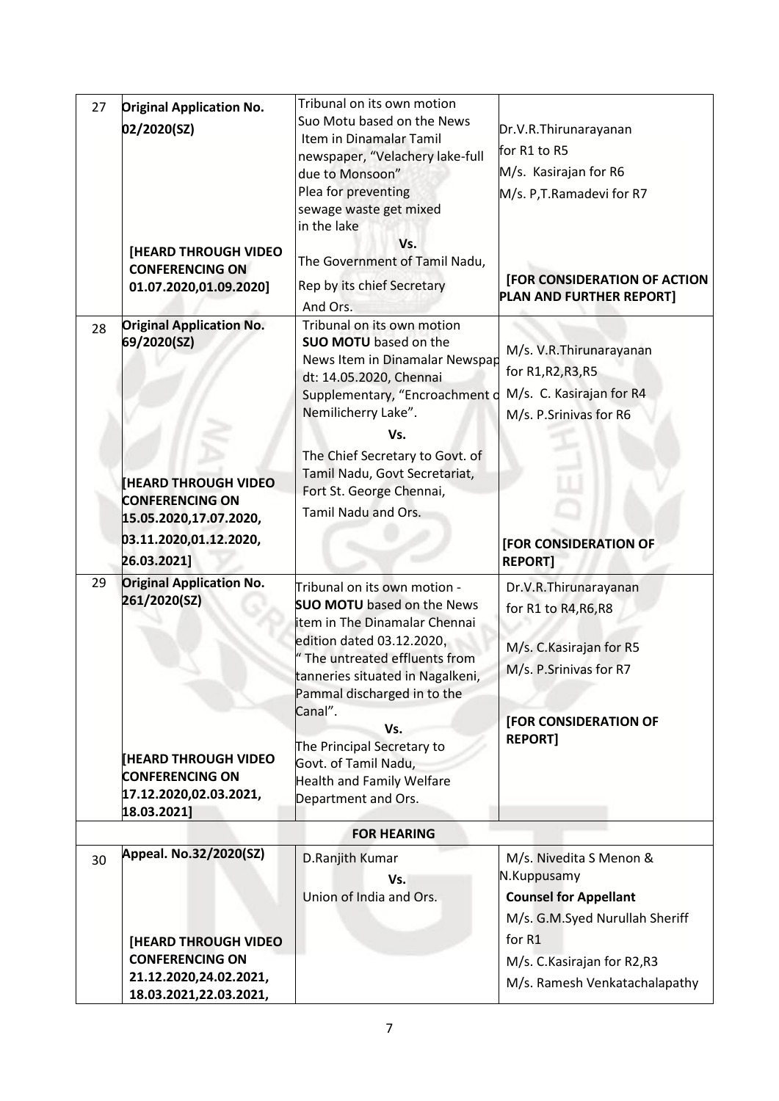| <b>Original Application No.</b><br>Suo Motu based on the News<br>02/2020(SZ)<br>Dr.V.R.Thirunarayanan<br>Item in Dinamalar Tamil<br>for R1 to R5<br>newspaper, "Velachery lake-full |  |  |  |
|-------------------------------------------------------------------------------------------------------------------------------------------------------------------------------------|--|--|--|
|                                                                                                                                                                                     |  |  |  |
|                                                                                                                                                                                     |  |  |  |
|                                                                                                                                                                                     |  |  |  |
| M/s. Kasirajan for R6<br>due to Monsoon"                                                                                                                                            |  |  |  |
| Plea for preventing<br>M/s. P,T.Ramadevi for R7                                                                                                                                     |  |  |  |
| sewage waste get mixed                                                                                                                                                              |  |  |  |
| in the lake                                                                                                                                                                         |  |  |  |
| Vs.<br>[HEARD THROUGH VIDEO                                                                                                                                                         |  |  |  |
| The Government of Tamil Nadu,<br><b>CONFERENCING ON</b><br><b>[FOR CONSIDERATION OF ACTION</b>                                                                                      |  |  |  |
| Rep by its chief Secretary<br>01.07.2020,01.09.2020]<br>PLAN AND FURTHER REPORT]                                                                                                    |  |  |  |
| And Ors.                                                                                                                                                                            |  |  |  |
| <b>Original Application No.</b><br>Tribunal on its own motion<br>28                                                                                                                 |  |  |  |
| 69/2020(SZ)<br><b>SUO MOTU</b> based on the<br>M/s. V.R. Thirunarayanan                                                                                                             |  |  |  |
| News Item in Dinamalar Newspap<br>for R1, R2, R3, R5                                                                                                                                |  |  |  |
| dt: 14.05.2020, Chennai                                                                                                                                                             |  |  |  |
| M/s. C. Kasirajan for R4<br>Supplementary, "Encroachment o                                                                                                                          |  |  |  |
| Nemilicherry Lake".<br>M/s. P.Srinivas for R6                                                                                                                                       |  |  |  |
| Vs.                                                                                                                                                                                 |  |  |  |
| The Chief Secretary to Govt. of                                                                                                                                                     |  |  |  |
| Tamil Nadu, Govt Secretariat,<br><b>HEARD THROUGH VIDEO</b>                                                                                                                         |  |  |  |
| Fort St. George Chennai,<br><b>CONFERENCING ON</b>                                                                                                                                  |  |  |  |
| Tamil Nadu and Ors.<br>15.05.2020,17.07.2020,                                                                                                                                       |  |  |  |
| 03.11.2020,01.12.2020,                                                                                                                                                              |  |  |  |
| [FOR CONSIDERATION OF                                                                                                                                                               |  |  |  |
| 26.03.2021]<br><b>REPORT]</b>                                                                                                                                                       |  |  |  |
| <b>Original Application No.</b><br>29<br>Tribunal on its own motion -<br>Dr.V.R.Thirunarayanan                                                                                      |  |  |  |
| 261/2020(SZ)<br><b>SUO MOTU</b> based on the News<br>for R1 to R4, R6, R8                                                                                                           |  |  |  |
| item in The Dinamalar Chennai                                                                                                                                                       |  |  |  |
| edition dated 03.12.2020,<br>M/s. C. Kasirajan for R5                                                                                                                               |  |  |  |
| " The untreated effluents from<br>M/s. P.Srinivas for R7                                                                                                                            |  |  |  |
| tanneries situated in Nagalkeni,                                                                                                                                                    |  |  |  |
| Pammal discharged in to the                                                                                                                                                         |  |  |  |
| Canal".<br>[FOR CONSIDERATION OF                                                                                                                                                    |  |  |  |
| Vs.<br><b>REPORT1</b><br>The Principal Secretary to                                                                                                                                 |  |  |  |
| <b>HEARD THROUGH VIDEO</b><br>Govt. of Tamil Nadu,                                                                                                                                  |  |  |  |
| <b>CONFERENCING ON</b><br><b>Health and Family Welfare</b>                                                                                                                          |  |  |  |
| 17.12.2020,02.03.2021,<br>Department and Ors.                                                                                                                                       |  |  |  |
| 18.03.2021]                                                                                                                                                                         |  |  |  |
| <b>FOR HEARING</b>                                                                                                                                                                  |  |  |  |
| Appeal. No.32/2020(SZ)<br>M/s. Nivedita S Menon &<br>D.Ranjith Kumar<br>30                                                                                                          |  |  |  |
| N.Kuppusamy<br>Vs.                                                                                                                                                                  |  |  |  |
| <b>Counsel for Appellant</b><br>Union of India and Ors.                                                                                                                             |  |  |  |
| M/s. G.M.Syed Nurullah Sheriff                                                                                                                                                      |  |  |  |
| for R1                                                                                                                                                                              |  |  |  |
| <b>[HEARD THROUGH VIDEO</b><br><b>CONFERENCING ON</b>                                                                                                                               |  |  |  |
| M/s. C. Kasirajan for R2, R3<br>21.12.2020,24.02.2021,                                                                                                                              |  |  |  |
| M/s. Ramesh Venkatachalapathy<br>18.03.2021,22.03.2021,                                                                                                                             |  |  |  |